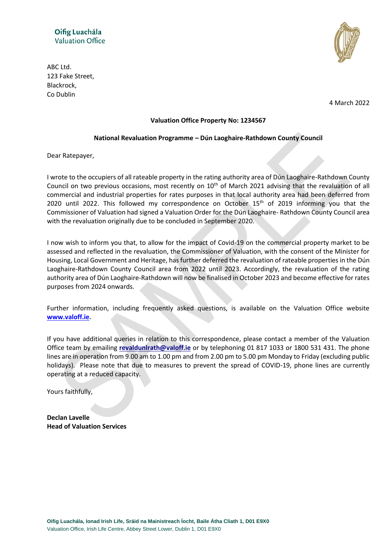

ABC Ltd. 123 Fake Street, Blackrock, Co Dublin

4 March 2022

### **Valuation Office Property No: 1234567**

#### **National Revaluation Programme – Dún Laoghaire-Rathdown County Council**

Dear Ratepayer,

I wrote to the occupiers of all rateable property in the rating authority area of Dún Laoghaire-Rathdown County Council on two previous occasions, most recently on 10<sup>th</sup> of March 2021 advising that the revaluation of all commercial and industrial properties for rates purposes in that local authority area had been deferred from 2020 until 2022. This followed my correspondence on October 15<sup>th</sup> of 2019 informing you that the Commissioner of Valuation had signed a Valuation Order for the Dún Laoghaire- Rathdown County Council area with the revaluation originally due to be concluded in September 2020.

I now wish to inform you that, to allow for the impact of Covid-19 on the commercial property market to be assessed and reflected in the revaluation, the Commissioner of Valuation, with the consent of the Minister for Housing, Local Government and Heritage, has further deferred the revaluation of rateable properties in the Dún Laoghaire-Rathdown County Council area from 2022 until 2023. Accordingly, the revaluation of the rating authority area of Dún Laoghaire-Rathdown will now be finalised in October 2023 and become effective for rates purposes from 2024 onwards.

Further information, including frequently asked questions, is available on the Valuation Office website **[www.valoff.ie.](http://www.valoff.ie/)**

If you have additional queries in relation to this correspondence, please contact a member of the Valuation Office team by emailing **[revaldunlrath@valoff.ie](mailto:revaldunlrath@valoff.ie)** or by telephoning 01 817 1033 or 1800 531 431. The phone lines are in operation from 9.00 am to 1.00 pm and from 2.00 pm to 5.00 pm Monday to Friday (excluding public holidays). Please note that due to measures to prevent the spread of COVID-19, phone lines are currently operating at a reduced capacity.

Yours faithfully,

**Declan Lavelle Head of Valuation Services**